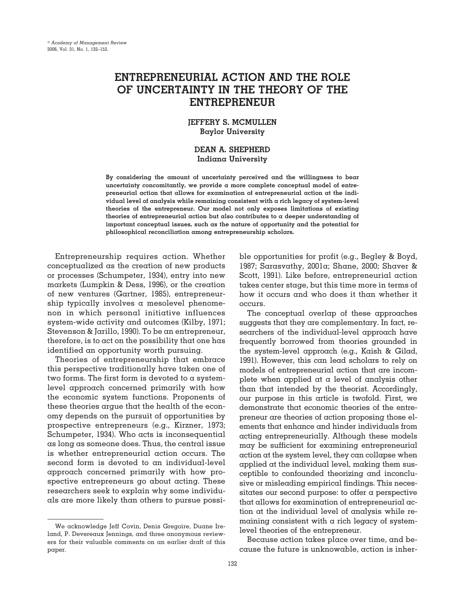# **ENTREPRENEURIAL ACTION AND THE ROLE OF UNCERTAINTY IN THE THEORY OF THE ENTREPRENEUR**

## **JEFFERY S. MCMULLEN Baylor University**

# **DEAN A. SHEPHERD Indiana University**

**By considering the amount of uncertainty perceived and the willingness to bear uncertainty concomitantly, we provide a more complete conceptual model of entrepreneurial action that allows for examination of entrepreneurial action at the individual level of analysis while remaining consistent with a rich legacy of system-level theories of the entrepreneur. Our model not only exposes limitations of existing theories of entrepreneurial action but also contributes to a deeper understanding of important conceptual issues, such as the nature of opportunity and the potential for philosophical reconciliation among entrepreneurship scholars.**

Entrepreneurship requires action. Whether conceptualized as the creation of new products or processes (Schumpeter, 1934), entry into new markets (Lumpkin & Dess, 1996), or the creation of new ventures (Gartner, 1985), entrepreneurship typically involves a mesolevel phenomenon in which personal initiative influences system-wide activity and outcomes (Kilby, 1971; Stevenson & Jarillo, 1990). To be an entrepreneur, therefore, is to act on the possibility that one has identified an opportunity worth pursuing.

Theories of entrepreneurship that embrace this perspective traditionally have taken one of two forms. The first form is devoted to  $\alpha$  systemlevel approach concerned primarily with how the economic system functions. Proponents of these theories argue that the health of the economy depends on the pursuit of opportunities by prospective entrepreneurs (e.g., Kirzner, 1973; Schumpeter, 1934). Who acts is inconsequential as long as someone does. Thus, the central issue is whether entrepreneurial action occurs. The second form is devoted to an individual-level approach concerned primarily with how prospective entrepreneurs go about acting. These researchers seek to explain why some individuals are more likely than others to pursue possible opportunities for profit (e.g., Begley & Boyd, 1987; Sarasvathy, 2001a; Shane, 2000; Shaver & Scott, 1991). Like before, entrepreneurial action takes center stage, but this time more in terms of how it occurs and who does it than whether it occurs.

The conceptual overlap of these approaches suggests that they are complementary. In fact, researchers of the individual-level approach have frequently borrowed from theories grounded in the system-level approach (e.g., Kaish & Gilad, 1991). However, this can lead scholars to rely on models of entrepreneurial action that are incomplete when applied at a level of analysis other than that intended by the theorist. Accordingly, our purpose in this article is twofold. First, we demonstrate that economic theories of the entrepreneur are theories of action proposing those elements that enhance and hinder individuals from acting entrepreneurially. Although these models may be sufficient for examining entrepreneurial action at the system level, they can collapse when applied at the individual level, making them susceptible to confounded theorizing and inconclusive or misleading empirical findings. This necessitates our second purpose: to offer a perspective that allows for examination of entrepreneurial action at the individual level of analysis while remaining consistent with  $\alpha$  rich legacy of systemlevel theories of the entrepreneur.

Because action takes place over time, and because the future is unknowable, action is inher-

We acknowledge Jeff Covin, Denis Gregoire, Duane Ireland, P. Devereaux Jennings, and three anonymous reviewers for their valuable comments on an earlier draft of this paper.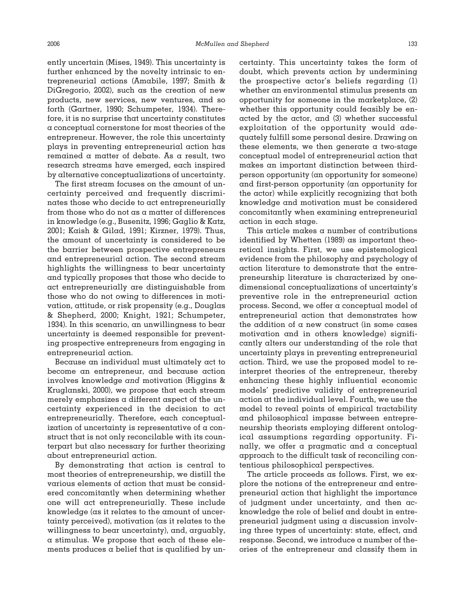ently uncertain (Mises, 1949). This uncertainty is further enhanced by the novelty intrinsic to entrepreneurial actions (Amabile, 1997; Smith & DiGregorio, 2002), such as the creation of new products, new services, new ventures, and so forth (Gartner, 1990; Schumpeter, 1934). Therefore, it is no surprise that uncertainty constitutes a conceptual cornerstone for most theories of the entrepreneur. However, the role this uncertainty plays in preventing entrepreneurial action has remained a matter of debate. As a result, two research streams have emerged, each inspired by alternative conceptualizations of uncertainty.

The first stream focuses on the amount of uncertainty perceived and frequently discriminates those who decide to act entrepreneurially from those who do not as a matter of differences in knowledge (e.g., Busenitz, 1996; Gaglio & Katz, 2001; Kaish & Gilad, 1991; Kirzner, 1979). Thus, the amount of uncertainty is considered to be the barrier between prospective entrepreneurs and entrepreneurial action. The second stream highlights the willingness to bear uncertainty and typically proposes that those who decide to act entrepreneurially are distinguishable from those who do not owing to differences in motivation, attitude, or risk propensity (e.g., Douglas & Shepherd, 2000; Knight, 1921; Schumpeter, 1934). In this scenario, an unwillingness to bear uncertainty is deemed responsible for preventing prospective entrepreneurs from engaging in entrepreneurial action.

Because an individual must ultimately act to become an entrepreneur, and because action involves knowledge *and* motivation (Higgins & Kruglanski, 2000), we propose that each stream merely emphasizes a different aspect of the uncertainty experienced in the decision to act entrepreneurially. Therefore, each conceptualization of uncertainty is representative of a construct that is not only reconcilable with its counterpart but also necessary for further theorizing about entrepreneurial action.

By demonstrating that action is central to most theories of entrepreneurship, we distill the various elements of action that must be considered concomitantly when determining whether one will act entrepreneurially. These include knowledge (as it relates to the amount of uncertainty perceived), motivation (as it relates to the willingness to bear uncertainty), and, arguably, a stimulus. We propose that each of these elements produces a belief that is qualified by uncertainty. This uncertainty takes the form of doubt, which prevents action by undermining the prospective actor's beliefs regarding (1) whether an environmental stimulus presents an opportunity for someone in the marketplace, (2) whether this opportunity could feasibly be enacted by the actor, and (3) whether successful exploitation of the opportunity would adequately fulfill some personal desire. Drawing on these elements, we then generate a two-stage conceptual model of entrepreneurial action that makes an important distinction between thirdperson opportunity (an opportunity for someone) and first-person opportunity (an opportunity for the actor) while explicitly recognizing that both knowledge and motivation must be considered concomitantly when examining entrepreneurial action in each stage.

This article makes a number of contributions identified by Whetten (1989) as important theoretical insights. First, we use epistemological evidence from the philosophy and psychology of action literature to demonstrate that the entrepreneurship literature is characterized by onedimensional conceptualizations of uncertainty's preventive role in the entrepreneurial action process. Second, we offer a conceptual model of entrepreneurial action that demonstrates how the addition of a new construct (in some cases motivation and in others knowledge) significantly alters our understanding of the role that uncertainty plays in preventing entrepreneurial action. Third, we use the proposed model to reinterpret theories of the entrepreneur, thereby enhancing these highly influential economic models' predictive validity of entrepreneurial action at the individual level. Fourth, we use the model to reveal points of empirical tractability and philosophical impasse between entrepreneurship theorists employing different ontological assumptions regarding opportunity. Finally, we offer a pragmatic and a conceptual approach to the difficult task of reconciling contentious philosophical perspectives.

The article proceeds as follows. First, we explore the notions of the entrepreneur and entrepreneurial action that highlight the importance of judgment under uncertainty, and then acknowledge the role of belief and doubt in entrepreneurial judgment using a discussion involving three types of uncertainty: state, effect, and response. Second, we introduce a number of theories of the entrepreneur and classify them in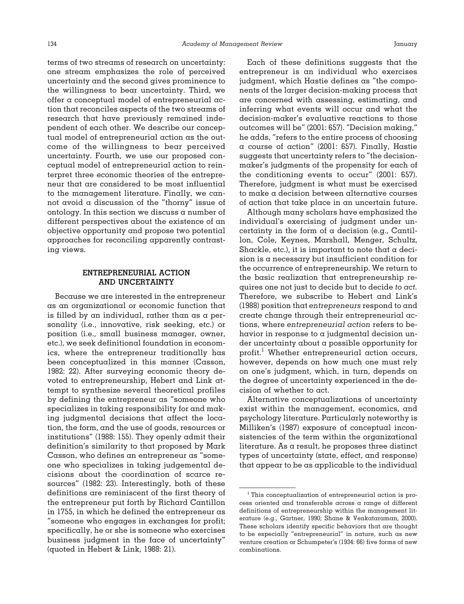terms of two streams of research on uncertainty: one stream emphasizes the role of perceived uncertainty and the second gives prominence to the willingness to bear uncertainty. Third, we offer a conceptual model of entrepreneurial action that reconciles aspects of the two streams of research that have previously remained independent of each other. We describe our conceptual model of entrepreneurial action as the outcome of the willingness to bear perceived uncertainty. Fourth, we use our proposed conceptual model of entrepreneurial action to reinterpret three economic theories of the entrepreneur that are considered to be most influential to the management literature. Finally, we cannot avoid a discussion of the "thorny" issue of ontology. In this section we discuss  $\alpha$  number of different perspectives about the existence of an objective opportunity and propose two potential approaches for reconciling apparently contrasting views.

#### **ENTREPRENEURIAL ACTION AND UNCERTAINTY**

Because we are interested in the entrepreneur as an organizational or economic function that is filled by an individual, rather than as a personality (i.e., innovative, risk seeking, etc.) or position (i.e., small business manager, owner, etc.), we seek definitional foundation in economics, where the entrepreneur traditionally has been conceptualized in this manner (Casson, 1982: 22). After surveying economic theory devoted to entrepreneurship, Hebert and Link attempt to synthesize several theoretical profiles by defining the entrepreneur as "someone who specializes in taking responsibility for and making judgmental decisions that affect the location, the form, and the use of goods, resources or institutions" (1988: 155). They openly admit their definition's similarity to that proposed by Mark Casson, who defines an entrepreneur as "someone who specializes in taking judgemental decisions about the coordination of scarce resources" (1982: 23). Interestingly, both of these definitions are reminiscent of the first theory of the entrepreneur put forth by Richard Cantillon in 1755, in which he defined the entrepreneur as "someone who engages in exchanges for profit; specifically, he or she is someone who exercises business judgment in the face of uncertainty" (quoted in Hebert & Link, 1988: 21).

Each of these definitions suggests that the entrepreneur is an individual who exercises judgment, which Hastie defines as "the components of the larger decision-making process that are concerned with assessing, estimating, and inferring what events will occur and what the decision-maker's evaluative reactions to those outcomes will be" (2001: 657). "Decision making," he adds, "refers to the entire process of choosing a course of action" (2001: 657). Finally, Hastie suggests that uncertainty refers to "the decisionmaker's judgments of the propensity for each of the conditioning events to occur" (2001: 657). Therefore, judgment is what must be exercised to make a decision between alternative courses of action that take place in an uncertain future.

Although many scholars have emphasized the individual's exercising of judgment under uncertainty in the form of a decision (e.g., Cantillon, Cole, Keynes, Marshall, Menger, Schultz, Shackle, etc.), it is important to note that a decision is a necessary but insufficient condition for the occurrence of entrepreneurship. We return to the basic realization that entrepreneurship requires one not just to decide but to decide *to act.* Therefore, we subscribe to Hebert and Link's (1988) position that *entrepreneurs* respond to and create change through their entrepreneurial actions, where *entrepreneurial action* refers to behavior in response to a judgmental decision under uncertainty about a possible opportunity for profit.<sup>1</sup> Whether entrepreneurial action occurs, however, depends on how much one must rely on one's judgment, which, in turn, depends on the degree of uncertainty experienced in the decision of whether to act.

Alternative conceptualizations of uncertainty exist within the management, economics, and psychology literature. Particularly noteworthy is Milliken's (1987) exposure of conceptual inconsistencies of the term within the organizational literature. As a result, he proposes three distinct types of uncertainty (state, effect, and response) that appear to be as applicable to the individual

<sup>1</sup> This conceptualization of entrepreneurial action is process oriented and transferable across a range of different definitions of entrepreneurship within the management literature (e.g., Gartner, 1990; Shane & Venkataraman, 2000). These scholars identify specific behaviors that are thought to be especially "entrepreneurial" in nature, such as new venture creation or Schumpeter's (1934: 66) five forms of new combinations.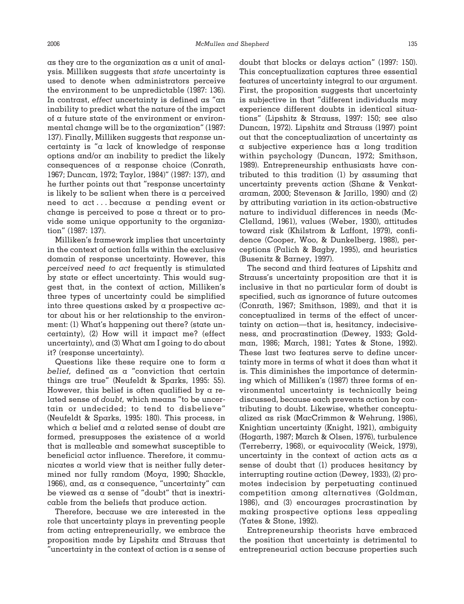as they are to the organization as a unit of analysis. Milliken suggests that *state* uncertainty is used to denote when administrators perceive the environment to be unpredictable (1987: 136). In contrast, *effect* uncertainty is defined as "an inability to predict what the nature of the impact of a future state of the environment or environmental change will be to the organization" (1987: 137). Finally, Milliken suggests that *response* uncertainty is "a lack of knowledge of response options and/or an inability to predict the likely consequences of a response choice (Conrath, 1967; Duncan, 1972; Taylor, 1984)" (1987: 137), and he further points out that "response uncertainty is likely to be salient when there is a perceived need to act... because a pending event or change is perceived to pose a threat or to provide some unique opportunity to the organization" (1987: 137).

Milliken's framework implies that uncertainty in the context of action falls within the exclusive domain of response uncertainty. However, this *perceived need to act* frequently is stimulated by state or effect uncertainty. This would suggest that, in the context of action, Milliken's three types of uncertainty could be simplified into three questions asked by a prospective actor about his or her relationship to the environment: (1) What's happening out there? (state uncertainty), (2) How will it impact me? (effect uncertainty), and (3) What am I going to do about it? (response uncertainty).

Questions like these require one to form a *belief,* defined as a "conviction that certain things are true" (Neufeldt & Sparks, 1995: 55). However, this belief is often qualified by  $\alpha$  related sense of *doubt,* which means "to be uncertain or undecided; to tend to disbelieve" (Neufeldt & Sparks, 1995: 180). This process, in which a belief and a related sense of doubt are formed, presupposes the existence of a world that is malleable and somewhat susceptible to beneficial actor influence. Therefore, it communicates a world view that is neither fully determined nor fully random (Moya, 1990; Shackle, 1966), and, as a consequence, "uncertainty" can be viewed as a sense of "doubt" that is inextricable from the beliefs that produce action.

Therefore, because we are interested in the role that uncertainty plays in preventing people from acting entrepreneurially, we embrace the proposition made by Lipshitz and Strauss that "uncertainty in the context of action is a sense of doubt that blocks or delays action" (1997: 150). This conceptualization captures three essential features of uncertainty integral to our argument. First, the proposition suggests that uncertainty is subjective in that "different individuals may experience different doubts in identical situations" (Lipshitz & Strauss, 1997: 150; see also Duncan, 1972). Lipshitz and Strauss (1997) point out that the conceptualization of uncertainty as a subjective experience has a long tradition within psychology (Duncan, 1972; Smithson, 1989). Entrepreneurship enthusiasts have contributed to this tradition (1) by assuming that uncertainty prevents action (Shane & Venkataraman, 2000; Stevenson & Jarillo, 1990) and (2) by attributing variation in its action-obstructive nature to individual differences in needs (Mc-Clelland, 1961), values (Weber, 1930), attitudes toward risk (Khilstrom & Laffont, 1979), confidence (Cooper, Woo, & Dunkelberg, 1988), perceptions (Palich & Bagby, 1995), and heuristics (Busenitz & Barney, 1997).

The second and third features of Lipshitz and Strauss's uncertainty proposition are that it is inclusive in that no particular form of doubt is specified, such as ignorance of future outcomes (Conrath, 1967; Smithson, 1989), and that it is conceptualized in terms of the effect of uncertainty on action—that is, hesitancy, indecisiveness, and procrastination (Dewey, 1933; Goldman, 1986; March, 1981; Yates & Stone, 1992). These last two features serve to define uncertainty more in terms of what it does than what it is. This diminishes the importance of determining which of Milliken's (1987) three forms of environmental uncertainty is technically being discussed, because each prevents action by contributing to doubt. Likewise, whether conceptualized as risk (MacCrimmon & Wehrung, 1986), Knightian uncertainty (Knight, 1921), ambiguity (Hogarth, 1987; March & Olsen, 1976), turbulence (Terreberry, 1968), or equivocality (Weick, 1979), uncertainty in the context of action acts as a sense of doubt that (1) produces hesitancy by interrupting routine action (Dewey, 1933), (2) promotes indecision by perpetuating continued competition among alternatives (Goldman, 1986), and (3) encourages procrastination by making prospective options less appealing (Yates & Stone, 1992).

Entrepreneurship theorists have embraced the position that uncertainty is detrimental to entrepreneurial action because properties such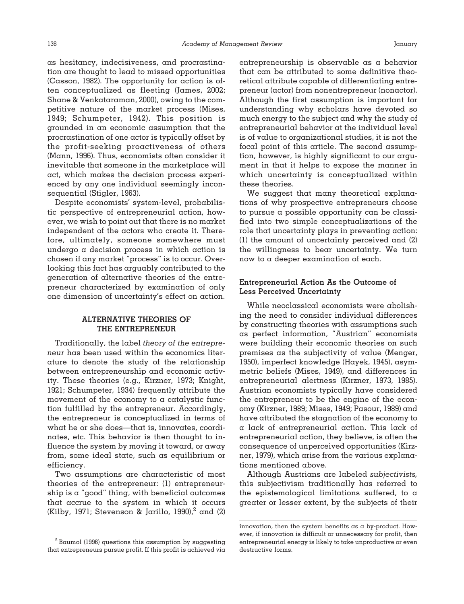as hesitancy, indecisiveness, and procrastination are thought to lead to missed opportunities (Casson, 1982). The opportunity for action is often conceptualized as fleeting (James, 2002; Shane & Venkataraman, 2000), owing to the competitive nature of the market process (Mises, 1949; Schumpeter, 1942). This position is grounded in an economic assumption that the procrastination of one actor is typically offset by the profit-seeking proactiveness of others (Mann, 1996). Thus, economists often consider it inevitable that someone in the marketplace will act, which makes the decision process experienced by any one individual seemingly inconsequential (Stigler, 1963).

Despite economists' system-level, probabilistic perspective of entrepreneurial action, however, we wish to point out that there is no market independent of the actors who create it. Therefore, ultimately, someone somewhere must undergo a decision process in which action is chosen if any market "process" is to occur. Overlooking this fact has arguably contributed to the generation of alternative theories of the entrepreneur characterized by examination of only one dimension of uncertainty's effect on action.

#### **ALTERNATIVE THEORIES OF THE ENTREPRENEUR**

Traditionally, the label *theory of the entrepreneur* has been used within the economics literature to denote the study of the relationship between entrepreneurship and economic activity. These theories (e.g., Kirzner, 1973; Knight, 1921; Schumpeter, 1934) frequently attribute the movement of the economy to  $\alpha$  catalystic function fulfilled by the entrepreneur. Accordingly, the entrepreneur is conceptualized in terms of what he or she does—that is, innovates, coordinates, etc. This behavior is then thought to influence the system by moving it toward, or away from, some ideal state, such as equilibrium or efficiency.

Two assumptions are characteristic of most theories of the entrepreneur: (1) entrepreneurship is  $\alpha$  "good" thing, with beneficial outcomes that accrue to the system in which it occurs (Kilby, 1971; Stevenson & Jarillo, 1990), $^2$  and (2) entrepreneurship is observable as a behavior that can be attributed to some definitive theoretical attribute capable of differentiating entrepreneur (actor) from nonentrepreneur (nonactor). Although the first assumption is important for understanding why scholars have devoted so much energy to the subject and why the study of entrepreneurial behavior at the individual level is of value to organizational studies, it is not the focal point of this article. The second assumption, however, is highly significant to our argument in that it helps to expose the manner in which uncertainty is conceptualized within these theories.

We suggest that many theoretical explanations of why prospective entrepreneurs choose to pursue a possible opportunity can be classified into two simple conceptualizations of the role that uncertainty plays in preventing action: (1) the amount of uncertainty perceived and (2) the willingness to bear uncertainty. We turn now to a deeper examination of each.

### **Entrepreneurial Action As the Outcome of Less Perceived Uncertainty**

While neoclassical economists were abolishing the need to consider individual differences by constructing theories with assumptions such as perfect information, "Austrian" economists were building their economic theories on such premises as the subjectivity of value (Menger, 1950), imperfect knowledge (Hayek, 1945), asymmetric beliefs (Mises, 1949), and differences in entrepreneurial alertness (Kirzner, 1973, 1985). Austrian economists typically have considered the entrepreneur to be the engine of the economy (Kirzner, 1989; Mises, 1949; Pasour, 1989) and have attributed the stagnation of the economy to a lack of entrepreneurial action. This lack of entrepreneurial action, they believe, is often the consequence of unperceived opportunities (Kirzner, 1979), which arise from the various explanations mentioned above.

Although Austrians are labeled *subjectivists,* this subjectivism traditionally has referred to the epistemological limitations suffered, to a greater or lesser extent, by the subjects of their

<sup>2</sup> Baumol (1996) questions this assumption by suggesting that entrepreneurs pursue profit. If this profit is achieved via

innovation, then the system benefits as a by-product. However, if innovation is difficult or unnecessary for profit, then entrepreneurial energy is likely to take unproductive or even destructive forms.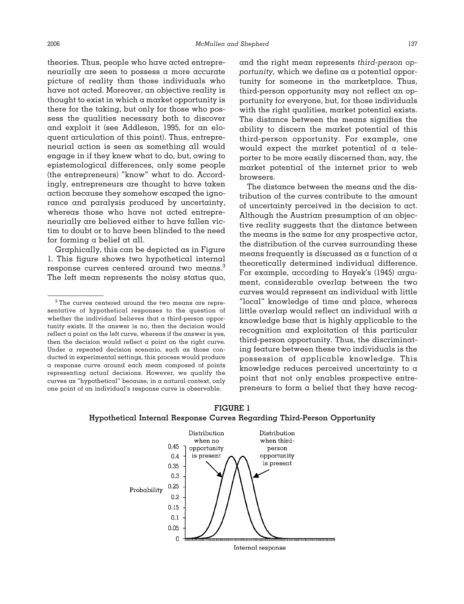theories. Thus, people who have acted entrepreneurially are seen to possess a more accurate picture of reality than those individuals who have not acted. Moreover, an objective reality is thought to exist in which a market opportunity is there for the taking, but only for those who possess the qualities necessary both to discover and exploit it (see Addleson, 1995, for an eloquent articulation of this point). Thus, entrepreneurial action is seen as something all would engage in if they knew what to do, but, owing to epistemological differences, only some people (the entrepreneurs) "know" what to do. Accordingly, entrepreneurs are thought to have taken action because they somehow escaped the ignorance and paralysis produced by uncertainty, whereas those who have not acted entrepreneurially are believed either to have fallen victim to doubt or to have been blinded to the need for forming a belief at all.

Graphically, this can be depicted as in Figure 1. This figure shows two hypothetical internal response curves centered around two means.<sup>3</sup> The left mean represents the noisy status quo, and the right mean represents *third-person opportunity,* which we define as a potential opportunity for someone in the marketplace. Thus, third-person opportunity may not reflect an opportunity for everyone, but, for those individuals with the right qualities, market potential exists. The distance between the means signifies the ability to discern the market potential of this third-person opportunity. For example, one would expect the market potential of  $\alpha$  teleporter to be more easily discerned than, say, the market potential of the internet prior to web browsers.

The distance between the means and the distribution of the curves contribute to the amount of uncertainty perceived in the decision to act. Although the Austrian presumption of an objective reality suggests that the distance between the means is the same for any prospective actor, the distribution of the curves surrounding these means frequently is discussed as a function of  $\alpha$ theoretically determined individual difference. For example, according to Hayek's (1945) argument, considerable overlap between the two curves would represent an individual with little "local" knowledge of time and place, whereas little overlap would reflect an individual with a knowledge base that is highly applicable to the recognition and exploitation of this particular third-person opportunity. Thus, the discriminating feature between these two individuals is the possession of applicable knowledge. This knowledge reduces perceived uncertainty to a point that not only enables prospective entrepreneurs to form a belief that they have recog-





<sup>3</sup> The curves centered around the two means are representative of hypothetical responses to the question of whether the individual believes that a third-person opportunity exists. If the answer is no, then the decision would reflect a point on the left curve, whereas if the answer is yes, then the decision would reflect  $\alpha$  point on the right curve. Under a repeated decision scenario, such as those conducted in experimental settings, this process would produce a response curve around each mean composed of points representing actual decisions. However, we qualify the curves as "hypothetical" because, in a natural context, only one point of an individual's response curve is observable.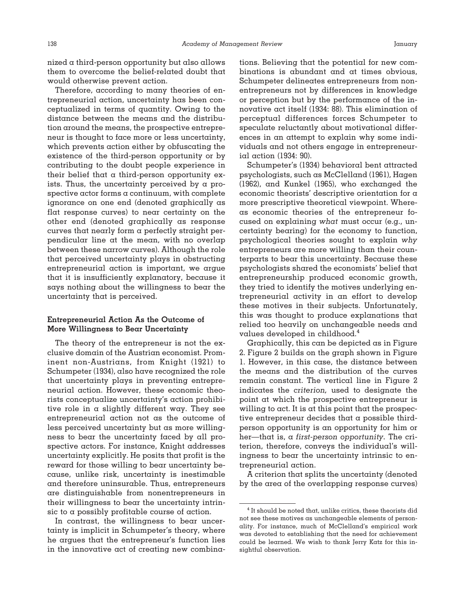nized a third-person opportunity but also allows them to overcome the belief-related doubt that would otherwise prevent action.

Therefore, according to many theories of entrepreneurial action, uncertainty has been conceptualized in terms of quantity. Owing to the distance between the means and the distribution around the means, the prospective entrepreneur is thought to face more or less uncertainty, which prevents action either by obfuscating the existence of the third-person opportunity or by contributing to the doubt people experience in their belief that a third-person opportunity exists. Thus, the uncertainty perceived by a prospective actor forms  $\alpha$  continuum, with complete ignorance on one end (denoted graphically as flat response curves) to near certainty on the other end (denoted graphically as response curves that nearly form a perfectly straight perpendicular line at the mean, with no overlap between these narrow curves). Although the role that perceived uncertainty plays in obstructing entrepreneurial action is important, we argue that it is insufficiently explanatory, because it says nothing about the willingness to bear the uncertainty that is perceived.

#### **Entrepreneurial Action As the Outcome of More Willingness to Bear Uncertainty**

The theory of the entrepreneur is not the exclusive domain of the Austrian economist. Prominent non-Austrians, from Knight (1921) to Schumpeter (1934), also have recognized the role that uncertainty plays in preventing entrepreneurial action. However, these economic theorists conceptualize uncertainty's action prohibitive role in a slightly different way. They see entrepreneurial action not as the outcome of less perceived uncertainty but as more willingness to bear the uncertainty faced by all prospective actors. For instance, Knight addresses uncertainty explicitly. He posits that profit is the reward for those willing to bear uncertainty because, unlike risk, uncertainty is inestimable and therefore uninsurable. Thus, entrepreneurs are distinguishable from nonentrepreneurs in their willingness to bear the uncertainty intrinsic to a possibly profitable course of action.

In contrast, the willingness to bear uncertainty is implicit in Schumpeter's theory, where he argues that the entrepreneur's function lies in the innovative act of creating new combinations. Believing that the potential for new combinations is abundant and at times obvious, Schumpeter delineates entrepreneurs from nonentrepreneurs not by differences in knowledge or perception but by the performance of the innovative act itself (1934: 88). This elimination of perceptual differences forces Schumpeter to speculate reluctantly about motivational differences in an attempt to explain why some individuals and not others engage in entrepreneurial action (1934: 90).

Schumpeter's (1934) behavioral bent attracted psychologists, such as McClelland (1961), Hagen (1962), and Kunkel (1965), who exchanged the economic theorists' descriptive orientation for a more prescriptive theoretical viewpoint. Whereas economic theories of the entrepreneur focused on explaining *what* must occur (e.g., uncertainty bearing) for the economy to function, psychological theories sought to explain *why* entrepreneurs are more willing than their counterparts to bear this uncertainty. Because these psychologists shared the economists' belief that entrepreneurship produced economic growth, they tried to identify the motives underlying entrepreneurial activity in an effort to develop these motives in their subjects. Unfortunately, this was thought to produce explanations that relied too heavily on unchangeable needs and values developed in childhood.4

Graphically, this can be depicted as in Figure 2. Figure 2 builds on the graph shown in Figure 1. However, in this case, the distance between the means and the distribution of the curves remain constant. The vertical line in Figure 2 indicates the *criterion,* used to designate the point at which the prospective entrepreneur is willing to act. It is at this point that the prospective entrepreneur decides that a possible thirdperson opportunity is an opportunity for him or her—that is, a *first-person opportunity.* The criterion, therefore, conveys the individual's willingness to bear the uncertainty intrinsic to entrepreneurial action.

A criterion that splits the uncertainty (denoted by the area of the overlapping response curves)

<sup>4</sup> It should be noted that, unlike critics, these theorists did not see these motives as unchangeable elements of personality. For instance, much of McClelland's empirical work was devoted to establishing that the need for achievement could be learned. We wish to thank Jerry Katz for this insightful observation.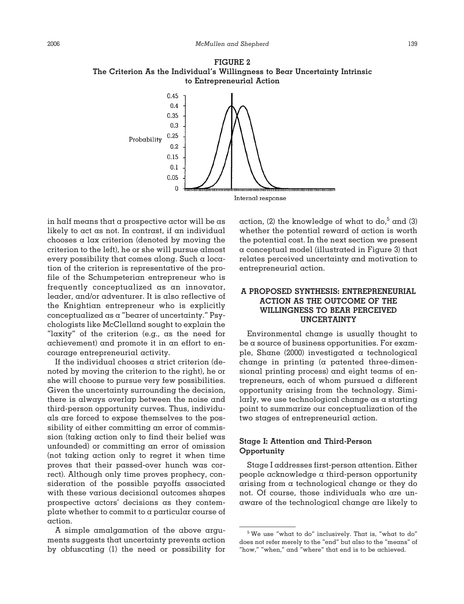**FIGURE 2 The Criterion As the Individual's Willingness to Bear Uncertainty Intrinsic to Entrepreneurial Action**



in half means that a prospective actor will be as likely to act as not. In contrast, if an individual chooses a lax criterion (denoted by moving the criterion to the left), he or she will pursue almost every possibility that comes along. Such a location of the criterion is representative of the profile of the Schumpeterian entrepreneur who is frequently conceptualized as an innovator, leader, and/or adventurer. It is also reflective of the Knightian entrepreneur who is explicitly conceptualized as a "bearer of uncertainty." Psychologists like McClelland sought to explain the "laxity" of the criterion (e.g., as the need for achievement) and promote it in an effort to encourage entrepreneurial activity.

If the individual chooses  $\alpha$  strict criterion (denoted by moving the criterion to the right), he or she will choose to pursue very few possibilities. Given the uncertainty surrounding the decision, there is always overlap between the noise and third-person opportunity curves. Thus, individuals are forced to expose themselves to the possibility of either committing an error of commission (taking action only to find their belief was unfounded) or committing an error of omission (not taking action only to regret it when time proves that their passed-over hunch was correct). Although only time proves prophecy, consideration of the possible payoffs associated with these various decisional outcomes shapes prospective actors' decisions as they contemplate whether to commit to a particular course of action.

A simple amalgamation of the above arguments suggests that uncertainty prevents action by obfuscating (1) the need or possibility for action, (2) the knowledge of what to do,<sup>5</sup> and (3) whether the potential reward of action is worth the potential cost. In the next section we present a conceptual model (illustrated in Figure 3) that relates perceived uncertainty and motivation to entrepreneurial action.

## **A PROPOSED SYNTHESIS: ENTREPRENEURIAL ACTION AS THE OUTCOME OF THE WILLINGNESS TO BEAR PERCEIVED UNCERTAINTY**

Environmental change is usually thought to be  $\alpha$  source of business opportunities. For example, Shane (2000) investigated a technological change in printing (a patented three-dimensional printing process) and eight teams of entrepreneurs, each of whom pursued a different opportunity arising from the technology. Similarly, we use technological change as a starting point to summarize our conceptualization of the two stages of entrepreneurial action.

## **Stage I: Attention and Third-Person Opportunity**

Stage I addresses first-person attention. Either people acknowledge a third-person opportunity arising from a technological change or they do not. Of course, those individuals who are unaware of the technological change are likely to

<sup>5</sup> We use "what to do" inclusively. That is, "what to do" does not refer merely to the "end" but also to the "means" of "how," "when," and "where" that end is to be achieved.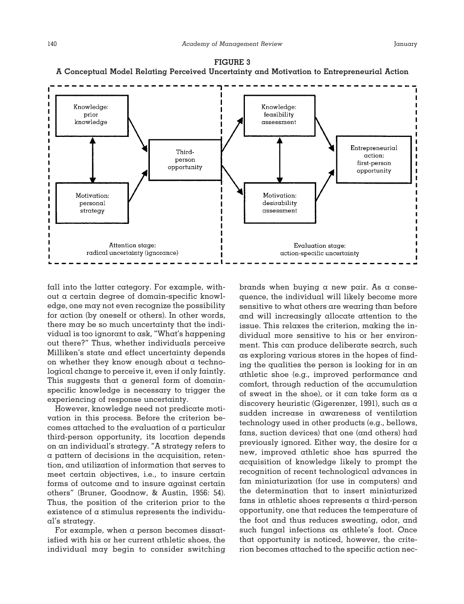

**FIGURE 3 A Conceptual Model Relating Perceived Uncertainty and Motivation to Entrepreneurial Action**

fall into the latter category. For example, without a certain degree of domain-specific knowledge, one may not even recognize the possibility for action (by oneself or others). In other words, there may be so much uncertainty that the individual is too ignorant to ask, "What's happening out there?" Thus, whether individuals perceive Milliken's state and effect uncertainty depends on whether they know enough about a technological change to perceive it, even if only faintly. This suggests that a general form of domainspecific knowledge is necessary to trigger the experiencing of response uncertainty.

However, knowledge need not predicate motivation in this process. Before the criterion becomes attached to the evaluation of a particular third-person opportunity, its location depends on an individual's strategy. "A strategy refers to a pattern of decisions in the acquisition, retention, and utilization of information that serves to meet certain objectives, i.e., to insure certain forms of outcome and to insure against certain others" (Bruner, Goodnow, & Austin, 1956: 54). Thus, the position of the criterion prior to the existence of a stimulus represents the individual's strategy.

For example, when a person becomes dissatisfied with his or her current athletic shoes, the individual may begin to consider switching brands when buying a new pair. As a consequence, the individual will likely become more sensitive to what others are wearing than before and will increasingly allocate attention to the issue. This relaxes the criterion, making the individual more sensitive to his or her environment. This can produce deliberate search, such as exploring various stores in the hopes of finding the qualities the person is looking for in an athletic shoe (e.g., improved performance and comfort, through reduction of the accumulation of sweat in the shoe), or it can take form as a discovery heuristic (Gigerenzer, 1991), such as a sudden increase in awareness of ventilation technology used in other products (e.g., bellows, fans, suction devices) that one (and others) had previously ignored. Either way, the desire for a new, improved athletic shoe has spurred the acquisition of knowledge likely to prompt the recognition of recent technological advances in fan miniaturization (for use in computers) and the determination that to insert miniaturized fans in athletic shoes represents a third-person opportunity, one that reduces the temperature of the foot and thus reduces sweating, odor, and such fungal infections as athlete's foot. Once that opportunity is noticed, however, the criterion becomes attached to the specific action nec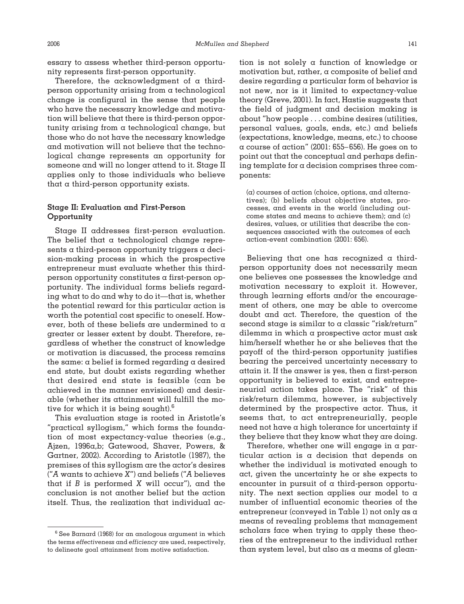essary to assess whether third-person opportunity represents first-person opportunity.

Therefore, the acknowledgment of a thirdperson opportunity arising from a technological change is configural in the sense that people who have the necessary knowledge and motivation will believe that there is third-person opportunity arising from a technological change, but those who do not have the necessary knowledge and motivation will not believe that the technological change represents an opportunity for someone and will no longer attend to it. Stage II applies only to those individuals who believe that a third-person opportunity exists.

# **Stage II: Evaluation and First-Person Opportunity**

Stage II addresses first-person evaluation. The belief that a technological change represents a third-person opportunity triggers a decision-making process in which the prospective entrepreneur must evaluate whether this thirdperson opportunity constitutes a first-person opportunity. The individual forms beliefs regarding what to do and why to do it—that is, whether the potential reward for this particular action is worth the potential cost specific to oneself. However, both of these beliefs are undermined to a greater or lesser extent by doubt. Therefore, regardless of whether the construct of knowledge or motivation is discussed, the process remains the same:  $\alpha$  belief is formed regarding  $\alpha$  desired end state, but doubt exists regarding whether that desired end state is feasible (can be achieved in the manner envisioned) and desirable (whether its attainment will fulfill the motive for which it is being sought). $6$ 

This evaluation stage is rooted in Aristotle's "practical syllogism," which forms the foundation of most expectancy-value theories (e.g., Ajzen, 1996a,b; Gatewood, Shaver, Powers, & Gartner, 2002). According to Aristotle (1987), the premises of this syllogism are the actor's desires ("*A* wants to achieve *X*") and beliefs ("*A* believes that if *B* is performed *X* will occur"), and the conclusion is not another belief but the action itself. Thus, the realization that individual action is not solely a function of knowledge or motivation but, rather, a composite of belief and desire regarding a particular form of behavior is not new, nor is it limited to expectancy-value theory (Greve, 2001). In fact, Hastie suggests that the field of judgment and decision making is about "how people . . . combine desires (utilities, personal values, goals, ends, etc.) and beliefs (expectations, knowledge, means, etc.) to choose a course of action" (2001: 655– 656). He goes on to point out that the conceptual and perhaps defining template for a decision comprises three components:

 $(\alpha)$  courses of action (choice, options, and alternatives); (b) beliefs about objective states, processes, and events in the world (including outcome states and means to achieve them); and (c) desires, values, or utilities that describe the consequences associated with the outcomes of each action-event combination (2001: 656).

Believing that one has recognized a thirdperson opportunity does not necessarily mean one believes one possesses the knowledge and motivation necessary to exploit it. However, through learning efforts and/or the encouragement of others, one may be able to overcome doubt and act. Therefore, the question of the second stage is similar to a classic "risk/return" dilemma in which a prospective actor must ask him/herself whether he or she believes that the payoff of the third-person opportunity justifies bearing the perceived uncertainty necessary to attain it. If the answer is yes, then a first-person opportunity is believed to exist, and entrepreneurial action takes place. The "risk" of this risk/return dilemma, however, is subjectively determined by the prospective actor. Thus, it seems that, to act entrepreneurially, people need not have a high tolerance for uncertainty if they believe that they know what they are doing.

Therefore, whether one will engage in a particular action is a decision that depends on whether the individual is motivated enough to act, given the uncertainty he or she expects to encounter in pursuit of a third-person opportunity. The next section applies our model to a number of influential economic theories of the entrepreneur (conveyed in Table 1) not only as a means of revealing problems that management scholars face when trying to apply these theories of the entrepreneur to the individual rather than system level, but also as a means of glean-

<sup>6</sup> See Barnard (1968) for an analogous argument in which the terms *effectiveness* and *efficiency* are used, respectively, to delineate goal attainment from motive satisfaction.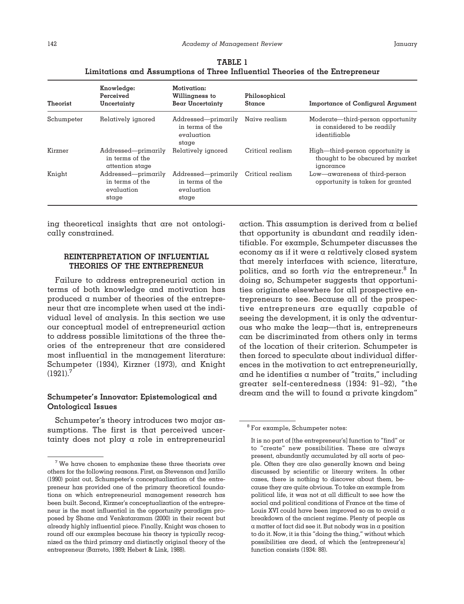| Theorist   | Knowledge:<br>Perceived<br>Uncertainty                        | Motivation:<br>Willingness to<br>Bear Uncertainty                      | Philosophical<br>Stance | <b>Importance of Configural Argument</b>                                          |
|------------|---------------------------------------------------------------|------------------------------------------------------------------------|-------------------------|-----------------------------------------------------------------------------------|
| Schumpeter | Relatively ignored                                            | Addressed—primarily<br>in terms of the<br>evaluation<br>$_{\rm stage}$ | Naive realism           | Moderate—third-person opportunity<br>is considered to be readily<br>identifiable  |
| Kirzner    | Addressed—primarily<br>in terms of the<br>attention stage     | Relatively ignored                                                     | Critical realism        | High-third-person opportunity is<br>thought to be obscured by market<br>ignorance |
| Knight     | Addressed-primarily<br>in terms of the<br>evaluation<br>stage | Addressed—primarily<br>in terms of the<br>evaluation<br>stage          | Critical realism        | Low—awareness of third-person<br>opportunity is taken for granted                 |

**TABLE 1 Limitations and Assumptions of Three Influential Theories of the Entrepreneur**

ing theoretical insights that are not ontologically constrained.

# **REINTERPRETATION OF INFLUENTIAL THEORIES OF THE ENTREPRENEUR**

Failure to address entrepreneurial action in terms of both knowledge and motivation has produced a number of theories of the entrepreneur that are incomplete when used at the individual level of analysis. In this section we use our conceptual model of entrepreneurial action to address possible limitations of the three theories of the entrepreneur that are considered most influential in the management literature: Schumpeter (1934), Kirzner (1973), and Knight  $(1921).<sup>7</sup>$ 

#### **Schumpeter's Innovator: Epistemological and Ontological Issues**

Schumpeter's theory introduces two major assumptions. The first is that perceived uncertainty does not play a role in entrepreneurial action. This assumption is derived from a belief that opportunity is abundant and readily identifiable. For example, Schumpeter discusses the economy as if it were a relatively closed system that merely interfaces with science, literature, politics, and so forth *via* the entrepreneur.8 In doing so, Schumpeter suggests that opportunities originate elsewhere for all prospective entrepreneurs to see. Because all of the prospective entrepreneurs are equally capable of seeing the development, it is only the adventurous who make the leap—that is, entrepreneurs can be discriminated from others only in terms of the location of their criterion. Schumpeter is then forced to speculate about individual differences in the motivation to act entrepreneurially, and he identifies a number of "traits," including greater self-centeredness (1934: 91–92), "the dream and the will to found a private kingdom"

<sup>7</sup> We have chosen to emphasize these three theorists over others for the following reasons. First, as Stevenson and Jarillo (1990) point out, Schumpeter's conceptualization of the entrepreneur has provided one of the primary theoretical foundations on which entrepreneurial management research has been built. Second, Kirzner's conceptualization of the entrepreneur is the most influential in the opportunity paradigm proposed by Shane and Venkataraman (2000) in their recent but already highly influential piece. Finally, Knight was chosen to round off our examples because his theory is typically recognized as the third primary and distinctly original theory of the entrepreneur (Barreto, 1989; Hebert & Link, 1988).

<sup>&</sup>lt;sup>8</sup> For example, Schumpeter notes:

It is no part of [the entrepreneur's] function to "find" or to "create" new possibilities. These are always present, abundantly accumulated by all sorts of people. Often they are also generally known and being discussed by scientific or literary writers. In other cases, there is nothing to discover about them, because they are quite obvious. To take an example from political life, it was not at all difficult to see how the social and political conditions of France at the time of Louis XVI could have been improved so as to avoid a breakdown of the ancient regime. Plenty of people as a matter of fact did see it. But nobody was in a position to do it. Now, it is this "doing the thing," without which possibilities are dead, of which the [entrepreneur's] function consists (1934: 88).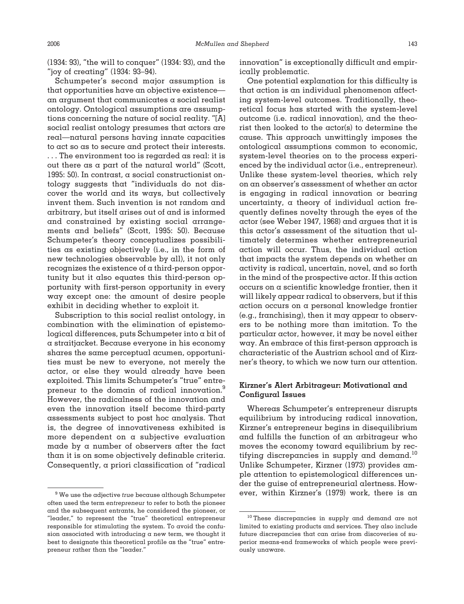(1934: 93), "the will to conquer" (1934: 93), and the "joy of creating" (1934: 93–94).

Schumpeter's second major assumption is that opportunities have an objective existence an argument that communicates a social realist ontology. Ontological assumptions are assumptions concerning the nature of social reality. "[A] social realist ontology presumes that actors are real—natural persons having innate capacities to act so as to secure and protect their interests. . . . The environment too is regarded as real: it is out there as a part of the natural world" (Scott, 1995: 50). In contrast, a social constructionist ontology suggests that "individuals do not discover the world and its ways, but collectively invent them. Such invention is not random and arbitrary, but itself arises out of and is informed and constrained by existing social arrangements and beliefs" (Scott, 1995: 50). Because Schumpeter's theory conceptualizes possibilities as existing objectively (i.e., in the form of new technologies observable by all), it not only recognizes the existence of a third-person opportunity but it also equates this third-person opportunity with first-person opportunity in every way except one: the amount of desire people exhibit in deciding whether to exploit it.

Subscription to this social realist ontology, in combination with the elimination of epistemological differences, puts Schumpeter into a bit of a straitjacket. Because everyone in his economy shares the same perceptual acumen, opportunities must be new to everyone, not merely the actor, or else they would already have been exploited. This limits Schumpeter's "true" entrepreneur to the domain of radical innovation.<sup>9</sup> However, the radicalness of the innovation and even the innovation itself become third-party assessments subject to post hoc analysis. That is, the degree of innovativeness exhibited is more dependent on a subjective evaluation made by a number of observers after the fact than it is on some objectively definable criteria. Consequently, a priori classification of "radical

innovation" is exceptionally difficult and empirically problematic.

One potential explanation for this difficulty is that action is an individual phenomenon affecting system-level outcomes. Traditionally, theoretical focus has started with the system-level outcome (i.e. radical innovation), and the theorist then looked to the actor(s) to determine the cause. This approach unwittingly imposes the ontological assumptions common to economic, system-level theories on to the process experienced by the individual actor (i.e., entrepreneur). Unlike these system-level theories, which rely on an observer's assessment of whether an actor is engaging in radical innovation or bearing uncertainty, a theory of individual action frequently defines novelty through the eyes of the actor (see Weber 1947, 1968) and argues that it is this actor's assessment of the situation that ultimately determines whether entrepreneurial action will occur. Thus, the individual action that impacts the system depends on whether an activity is radical, uncertain, novel, and so forth in the mind of the prospective actor. If this action occurs on a scientific knowledge frontier, then it will likely appear radical to observers, but if this action occurs on a personal knowledge frontier (e.g., franchising), then it may appear to observers to be nothing more than imitation. To the particular actor, however, it may be novel either way. An embrace of this first-person approach is characteristic of the Austrian school and of Kirzner's theory, to which we now turn our attention.

### **Kirzner's Alert Arbitrageur: Motivational and Configural Issues**

Whereas Schumpeter's entrepreneur disrupts equilibrium by introducing radical innovation, Kirzner's entrepreneur begins in disequilibrium and fulfills the function of an arbitrageur who moves the economy toward equilibrium by rectifying discrepancies in supply and demand.<sup>10</sup> Unlike Schumpeter, Kirzner (1973) provides ample attention to epistemological differences under the guise of entrepreneurial alertness. How-<sup>9</sup> We use the adjective *true* because although Schumpeter ever, within Kirzner's (1979) work, there is an

often used the term *entrepreneur* to refer to both the pioneer and the subsequent entrants, he considered the pioneer, or "leader," to represent the "true" theoretical entrepreneur responsible for stimulating the system. To avoid the confusion associated with introducing a new term, we thought it best to designate this theoretical profile as the "true" entrepreneur rather than the "leader."

<sup>10</sup> These discrepancies in supply and demand are not limited to existing products and services. They also include future discrepancies that can arise from discoveries of superior means-end frameworks of which people were previously unaware.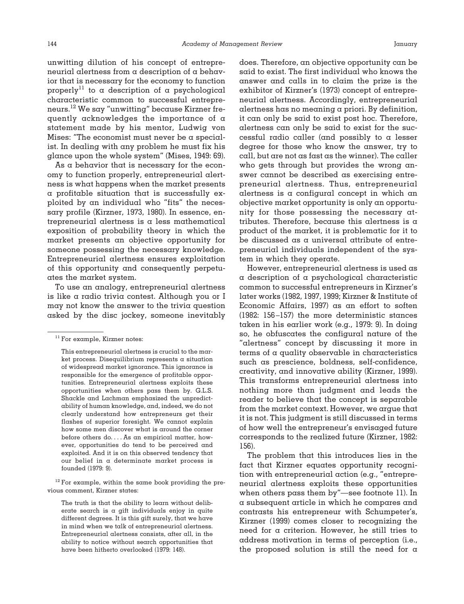unwitting dilution of his concept of entrepreneurial alertness from a description of a behavior that is necessary for the economy to function properly<sup>11</sup> to a description of a psychological characteristic common to successful entrepreneurs.12 We say "unwitting" because Kirzner frequently acknowledges the importance of a statement made by his mentor, Ludwig von Mises: "The economist must never be a specialist. In dealing with any problem he must fix his glance upon the whole system" (Mises, 1949: 69).

As a behavior that is necessary for the economy to function properly, entrepreneurial alertness is what happens when the market presents a profitable situation that is successfully exploited by an individual who "fits" the necessary profile (Kirzner, 1973, 1980). In essence, entrepreneurial alertness is a less mathematical exposition of probability theory in which the market presents an objective opportunity for someone possessing the necessary knowledge. Entrepreneurial alertness ensures exploitation of this opportunity and consequently perpetuates the market system.

To use an analogy, entrepreneurial alertness is like a radio trivia contest. Although you or I may not know the answer to the trivia question asked by the disc jockey, someone inevitably

<sup>12</sup> For example, within the same book providing the previous comment, Kirzner states:

The truth is that the ability to learn without deliberate search is a gift individuals enjoy in quite different degrees. It is this gift surely, that we have in mind when we talk of entrepreneurial alertness. Entrepreneurial alertness consists, after all, in the ability to notice without search opportunities that have been hitherto overlooked (1979: 148).

does. Therefore, an objective opportunity can be said to exist. The first individual who knows the answer and calls in to claim the prize is the exhibitor of Kirzner's (1973) concept of entrepreneurial alertness. Accordingly, entrepreneurial alertness has no meaning a priori. By definition, it can only be said to exist post hoc. Therefore, alertness can only be said to exist for the successful radio caller (and possibly to a lesser degree for those who know the answer, try to call, but are not as fast as the winner). The caller who gets through but provides the wrong answer cannot be described as exercising entrepreneurial alertness. Thus, entrepreneurial alertness is a configural concept in which an objective market opportunity is only an opportunity for those possessing the necessary attributes. Therefore, because this alertness is  $\alpha$ product of the market, it is problematic for it to be discussed as a universal attribute of entrepreneurial individuals independent of the system in which they operate.

However, entrepreneurial alertness is used as a description of a psychological characteristic common to successful entrepreneurs in Kirzner's later works (1982, 1997, 1999; Kirzner & Institute of Economic Affairs, 1997) as an effort to soften (1982: 156 –157) the more deterministic stances taken in his earlier work (e.g., 1979: 9). In doing so, he obfuscates the configural nature of the "alertness" concept by discussing it more in terms of a quality observable in characteristics such as prescience, boldness, self-confidence, creativity, and innovative ability (Kirzner, 1999). This transforms entrepreneurial alertness into nothing more than judgment and leads the reader to believe that the concept is separable from the market context. However, we argue that it is not. This judgment is still discussed in terms of how well the entrepreneur's envisaged future corresponds to the realized future (Kirzner, 1982: 156).

The problem that this introduces lies in the fact that Kirzner equates opportunity recognition with entrepreneurial action (e.g., "entrepreneurial alertness exploits these opportunities when others pass them by"—see footnote 11). In a subsequent article in which he compares and contrasts his entrepreneur with Schumpeter's, Kirzner (1999) comes closer to recognizing the need for a criterion. However, he still tries to address motivation in terms of perception (i.e., the proposed solution is still the need for a

<sup>&</sup>lt;sup>11</sup> For example, Kirzner notes:

This entrepreneurial alertness is crucial to the market process. Disequilibrium represents  $\alpha$  situation of widespread market ignorance. This ignorance is responsible for the emergence of profitable opportunities. Entrepreneurial alertness exploits these opportunities when others pass them by. G.L.S. Shackle and Lachman emphasized the unpredictability of human knowledge, and, indeed, we do not clearly understand how entrepreneurs get their flashes of superior foresight. We cannot explain how some men discover what is around the corner before others do. . . . As an empirical matter, however, opportunities do tend to be perceived and exploited. And it is on this observed tendency that our belief in a determinate market process is founded (1979: 9).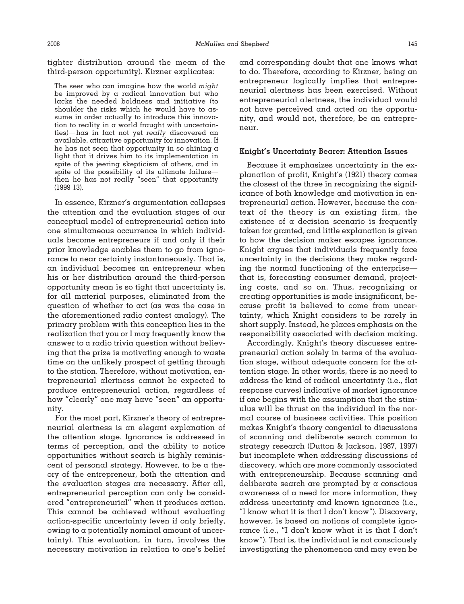tighter distribution around the mean of the third-person opportunity). Kirzner explicates:

The seer who can imagine how the world *might* be improved by a radical innovation but who lacks the needed boldness and initiative (to shoulder the risks which he would have to assume in order actually to introduce this innovation to reality in  $\alpha$  world fraught with uncertainties)—has in fact not yet *really* discovered an available, attractive opportunity for innovation. If he has not seen that opportunity in so shining  $\alpha$ light that it drives him to its implementation in spite of the jeering skepticism of others, and in spite of the possibility of its ultimate failure then he has *not* really "seen" that opportunity (1999 13).

In essence, Kirzner's argumentation collapses the attention and the evaluation stages of our conceptual model of entrepreneurial action into one simultaneous occurrence in which individuals become entrepreneurs if and only if their prior knowledge enables them to go from ignorance to near certainty instantaneously. That is, an individual becomes an entrepreneur when his or her distribution around the third-person opportunity mean is so tight that uncertainty is, for all material purposes, eliminated from the question of whether to act (as was the case in the aforementioned radio contest analogy). The primary problem with this conception lies in the realization that you or I may frequently know the answer to a radio trivia question without believing that the prize is motivating enough to waste time on the unlikely prospect of getting through to the station. Therefore, without motivation, entrepreneurial alertness cannot be expected to produce entrepreneurial action, regardless of how "clearly" one may have "seen" an opportunity.

For the most part, Kirzner's theory of entrepreneurial alertness is an elegant explanation of the attention stage. Ignorance is addressed in terms of perception, and the ability to notice opportunities without search is highly reminiscent of personal strategy. However, to be a theory of the entrepreneur, both the attention and the evaluation stages are necessary. After all, entrepreneurial perception can only be considered "entrepreneurial" when it produces action. This cannot be achieved without evaluating action-specific uncertainty (even if only briefly, owing to a potentially nominal amount of uncertainty). This evaluation, in turn, involves the necessary motivation in relation to one's belief

and corresponding doubt that one knows what to do. Therefore, according to Kirzner, being an entrepreneur logically implies that entrepreneurial alertness has been exercised. Without entrepreneurial alertness, the individual would not have perceived and acted on the opportunity, and would not, therefore, be an entrepreneur.

# **Knight's Uncertainty Bearer: Attention Issues**

Because it emphasizes uncertainty in the explanation of profit, Knight's (1921) theory comes the closest of the three in recognizing the significance of both knowledge and motivation in entrepreneurial action. However, because the context of the theory is an existing firm, the existence of a decision scenario is frequently taken for granted, and little explanation is given to how the decision maker escapes ignorance. Knight argues that individuals frequently face uncertainty in the decisions they make regarding the normal functioning of the enterprise that is, forecasting consumer demand, projecting costs, and so on. Thus, recognizing or creating opportunities is made insignificant, because profit is believed to come from uncertainty, which Knight considers to be rarely in short supply. Instead, he places emphasis on the responsibility associated with decision making.

Accordingly, Knight's theory discusses entrepreneurial action solely in terms of the evaluation stage, without adequate concern for the attention stage. In other words, there is no need to address the kind of radical uncertainty (i.e., flat response curves) indicative of market ignorance if one begins with the assumption that the stimulus will be thrust on the individual in the normal course of business activities. This position makes Knight's theory congenial to discussions of scanning and deliberate search common to strategy research (Dutton & Jackson, 1987, 1997) but incomplete when addressing discussions of discovery, which are more commonly associated with entrepreneurship. Because scanning and deliberate search are prompted by a conscious awareness of a need for more information, they address uncertainty and known ignorance (i.e., "I know what it is that I don't know"). Discovery, however, is based on notions of complete ignorance (i.e., "I don't know what it is that I don't know"). That is, the individual is not consciously investigating the phenomenon and may even be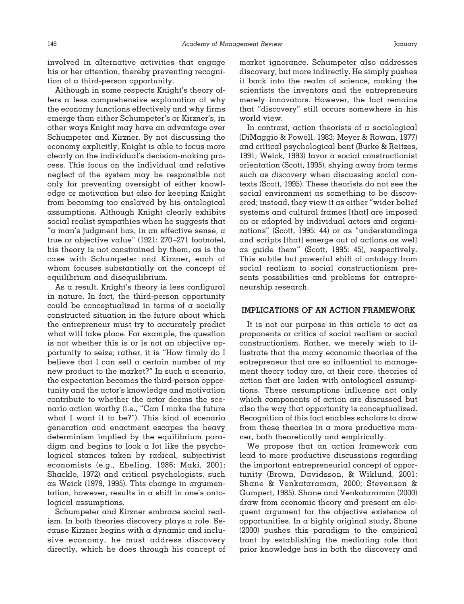involved in alternative activities that engage his or her attention, thereby preventing recognition of a third-person opportunity.

Although in some respects Knight's theory offers a less comprehensive explanation of why the economy functions effectively and why firms emerge than either Schumpeter's or Kirzner's, in other ways Knight may have an advantage over Schumpeter and Kirzner. By not discussing the economy explicitly, Knight is able to focus more clearly on the individual's decision-making process. This focus on the individual and relative neglect of the system may be responsible not only for preventing oversight of either knowledge or motivation but also for keeping Knight from becoming too enslaved by his ontological assumptions. Although Knight clearly exhibits social realist sympathies when he suggests that "a man's judgment has, in an effective sense, a true or objective value" (1921: 270 –271 footnote), his theory is not constrained by them, as is the case with Schumpeter and Kirzner, each of whom focuses substantially on the concept of equilibrium and disequilibrium.

As a result, Knight's theory is less configural in nature. In fact, the third-person opportunity could be conceptualized in terms of  $\alpha$  socially constructed situation in the future about which the entrepreneur must try to accurately predict what will take place. For example, the question is not whether this is or is not an objective opportunity to seize; rather, it is "How firmly do I believe that I can sell a certain number of my new product to the market?" In such a scenario, the expectation becomes the third-person opportunity and the actor's knowledge and motivation contribute to whether the actor deems the scenario action worthy (i.e., "Can I make the future what I want it to be?"). This kind of scenario generation and enactment escapes the heavy determinism implied by the equilibrium paradigm and begins to look a lot like the psychological stances taken by radical, subjectivist economists (e.g., Ebeling, 1986; Maki, 2001; Shackle, 1972) and critical psychologists, such as Weick (1979, 1995). This change in argumentation, however, results in  $\alpha$  shift in one's ontological assumptions.

Schumpeter and Kirzner embrace social realism. In both theories discovery plays a role. Because Kirzner begins with a dynamic and inclusive economy, he must address discovery directly, which he does through his concept of market ignorance. Schumpeter also addresses discovery, but more indirectly. He simply pushes it back into the realm of science, making the scientists the inventors and the entrepreneurs merely innovators. However, the fact remains that "discovery" still occurs somewhere in his world view.

In contrast, action theorists of a sociological (DiMaggio & Powell, 1983; Meyer & Rowan, 1977) and critical psychological bent (Burke & Reitzes, 1991; Weick, 1993) favor a social constructionist orientation (Scott, 1995), shying away from terms such as *discovery* when discussing social contexts (Scott, 1995). These theorists do not see the social environment as something to be discovered; instead, they view it as either "wider belief systems and cultural frames [that] are imposed on or adopted by individual actors and organizations" (Scott, 1995: 44) or as "understandings and scripts [that] emerge out of actions as well as guide them" (Scott, 1995: 45), respectively. This subtle but powerful shift of ontology from social realism to social constructionism presents possibilities and problems for entrepreneurship research.

#### **IMPLICATIONS OF AN ACTION FRAMEWORK**

It is not our purpose in this article to act as proponents or critics of social realism or social constructionism. Rather, we merely wish to illustrate that the many economic theories of the entrepreneur that are so influential to management theory today are, at their core, theories of action that are laden with ontological assumptions. These assumptions influence not only which components of action are discussed but also the way that opportunity is conceptualized. Recognition of this fact enables scholars to draw from these theories in a more productive manner, both theoretically and empirically.

We propose that an action framework can lead to more productive discussions regarding the important entrepreneurial concept of opportunity (Brown, Davidsson, & Wiklund, 2001; Shane & Venkataraman, 2000; Stevenson & Gumpert, 1985). Shane and Venkataraman (2000) draw from economic theory and present an eloquent argument for the objective existence of opportunities. In a highly original study, Shane (2000) pushes this paradigm to the empirical front by establishing the mediating role that prior knowledge has in both the discovery and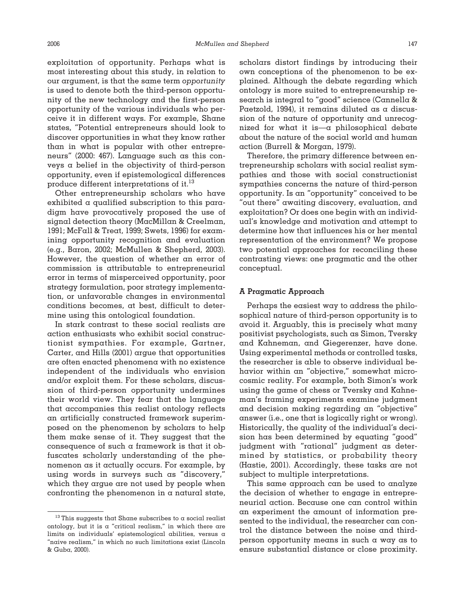exploitation of opportunity. Perhaps what is most interesting about this study, in relation to our argument, is that the same term *opportunity* is used to denote both the third-person opportunity of the new technology and the first-person opportunity of the various individuals who perceive it in different ways. For example, Shane states, "Potential entrepreneurs should look to discover opportunities in what they know rather than in what is popular with other entrepreneurs" (2000: 467). Language such as this conveys a belief in the objectivity of third-person opportunity, even if epistemological differences produce different interpretations of it.<sup>13</sup>

Other entrepreneurship scholars who have exhibited a qualified subscription to this paradigm have provocatively proposed the use of signal detection theory (MacMillan & Creelman, 1991; McFall & Treat, 1999; Swets, 1996) for examining opportunity recognition and evaluation (e.g., Baron, 2002; McMullen & Shepherd, 2003). However, the question of whether an error of commission is attributable to entrepreneurial error in terms of misperceived opportunity, poor strategy formulation, poor strategy implementation, or unfavorable changes in environmental conditions becomes, at best, difficult to determine using this ontological foundation.

In stark contrast to these social realists are action enthusiasts who exhibit social constructionist sympathies. For example, Gartner, Carter, and Hills (2001) argue that opportunities are often enacted phenomena with no existence independent of the individuals who envision and/or exploit them. For these scholars, discussion of third-person opportunity undermines their world view. They fear that the language that accompanies this realist ontology reflects an artificially constructed framework superimposed on the phenomenon by scholars to help them make sense of it. They suggest that the consequence of such a framework is that it obfuscates scholarly understanding of the phenomenon as it actually occurs. For example, by using words in surveys such as "discovery," which they argue are not used by people when confronting the phenomenon in  $\alpha$  natural state,

 $^{13}$  This suggests that Shane subscribes to a social realist ontology, but it is a "critical realism," in which there are limits on individuals' epistemological abilities, versus a "naive realism," in which no such limitations exist (Lincoln & Guba, 2000).

scholars distort findings by introducing their own conceptions of the phenomenon to be explained. Although the debate regarding which ontology is more suited to entrepreneurship research is integral to "good" science (Cannella & Paetzold, 1994), it remains diluted as a discussion of the nature of opportunity and unrecognized for what it is—a philosophical debate about the nature of the social world and human action (Burrell & Morgan, 1979).

Therefore, the primary difference between entrepreneurship scholars with social realist sympathies and those with social constructionist sympathies concerns the nature of third-person opportunity. Is an "opportunity" conceived to be "out there" awaiting discovery, evaluation, and exploitation? Or does one begin with an individual's knowledge and motivation and attempt to determine how that influences his or her mental representation of the environment? We propose two potential approaches for reconciling these contrasting views: one pragmatic and the other conceptual.

#### **A Pragmatic Approach**

Perhaps the easiest way to address the philosophical nature of third-person opportunity is to avoid it. Arguably, this is precisely what many positivist psychologists, such as Simon, Tversky and Kahneman, and Giegerenzer, have done. Using experimental methods or controlled tasks, the researcher is able to observe individual behavior within an "objective," somewhat microcosmic reality. For example, both Simon's work using the game of chess or Tversky and Kahneman's framing experiments examine judgment and decision making regarding an "objective" answer (i.e., one that is logically right or wrong). Historically, the quality of the individual's decision has been determined by equating "good" judgment with "rational" judgment as determined by statistics, or probability theory (Hastie, 2001). Accordingly, these tasks are not subject to multiple interpretations.

This same approach can be used to analyze the decision of whether to engage in entrepreneurial action. Because one can control within an experiment the amount of information presented to the individual, the researcher can control the distance between the noise and thirdperson opportunity means in such a way as to ensure substantial distance or close proximity.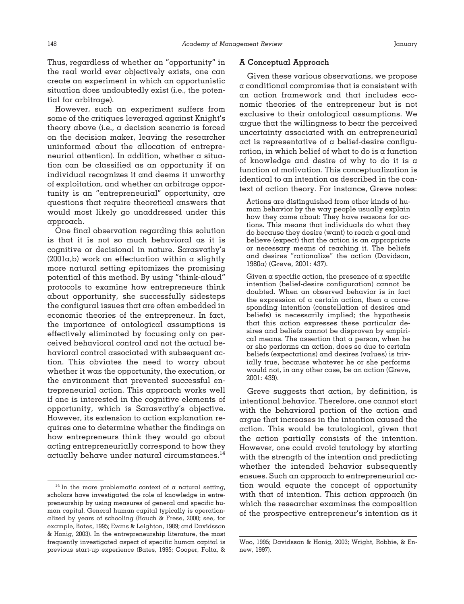Thus, regardless of whether an "opportunity" in the real world ever objectively exists, one can create an experiment in which an opportunistic situation does undoubtedly exist (i.e., the potential for arbitrage).

However, such an experiment suffers from some of the critiques leveraged against Knight's theory above (i.e., a decision scenario is forced on the decision maker, leaving the researcher uninformed about the allocation of entrepreneurial attention). In addition, whether a situation can be classified as an opportunity if an individual recognizes it and deems it unworthy of exploitation, and whether an arbitrage opportunity is an "entrepreneurial" opportunity, are questions that require theoretical answers that would most likely go unaddressed under this approach.

One final observation regarding this solution is that it is not so much behavioral as it is cognitive or decisional in nature. Sarasvathy's  $(2001\alpha,b)$  work on effectuation within a slightly more natural setting epitomizes the promising potential of this method. By using "think-aloud" protocols to examine how entrepreneurs think about opportunity, she successfully sidesteps the configural issues that are often embedded in economic theories of the entrepreneur. In fact, the importance of ontological assumptions is effectively eliminated by focusing only on perceived behavioral control and not the actual behavioral control associated with subsequent action. This obviates the need to worry about whether it was the opportunity, the execution, or the environment that prevented successful entrepreneurial action. This approach works well if one is interested in the cognitive elements of opportunity, which is Sarasvathy's objective. However, its extension to action explanation requires one to determine whether the findings on how entrepreneurs think they would go about acting entrepreneurially correspond to how they actually behave under natural circumstances.<sup>14</sup>

#### **A Conceptual Approach**

Given these various observations, we propose a conditional compromise that is consistent with an action framework and that includes economic theories of the entrepreneur but is not exclusive to their ontological assumptions. We argue that the willingness to bear the perceived uncertainty associated with an entrepreneurial act is representative of a belief-desire configuration, in which belief of what to do is a function of knowledge and desire of why to do it is a function of motivation. This conceptualization is identical to an intention as described in the context of action theory. For instance, Greve notes:

Actions are distinguished from other kinds of human behavior by the way people usually explain how they came about: They have reasons for actions. This means that individuals do what they do because they desire (want) to reach a goal and believe (expect) that the action is an appropriate or necessary means of reaching it. The beliefs and desires "rationalize" the action (Davidson, 1980a) (Greve, 2001: 437).

Given a specific action, the presence of a specific intention (belief-desire configuration) cannot be doubted. When an observed behavior is in fact the expression of  $\alpha$  certain action, then  $\alpha$  corresponding intention (constellation of desires and beliefs) is necessarily implied; the hypothesis that this action expresses these particular desires and beliefs cannot be disproven by empirical means. The assertion that a person, when he or she performs an action, does so due to certain beliefs (expectations) and desires (values) is trivially true, because whatever he or she performs would not, in any other case, be an action (Greve, 2001: 439).

Greve suggests that action, by definition, is intentional behavior. Therefore, one cannot start with the behavioral portion of the action and argue that increases in the intention caused the action. This would be tautological, given that the action partially consists of the intention. However, one could avoid tautology by starting with the strength of the intention and predicting whether the intended behavior subsequently ensues. Such an approach to entrepreneurial action would equate the concept of opportunity with that of intention. This action approach (in which the researcher examines the composition of the prospective entrepreneur's intention as it

<sup>&</sup>lt;sup>14</sup> In the more problematic context of  $\alpha$  natural setting, scholars have investigated the role of knowledge in entrepreneurship by using measures of general and specific human capital. General human capital typically is operationalized by years of schooling (Rauch & Frese, 2000; see, for example, Bates, 1995; Evans & Leighton, 1989; and Davidsson & Honig, 2003). In the entrepreneurship literature, the most frequently investigated aspect of specific human capital is previous start-up experience (Bates, 1995; Cooper, Folta, &

Woo, 1995; Davidsson & Honig, 2003; Wright, Robbie, & Ennew, 1997).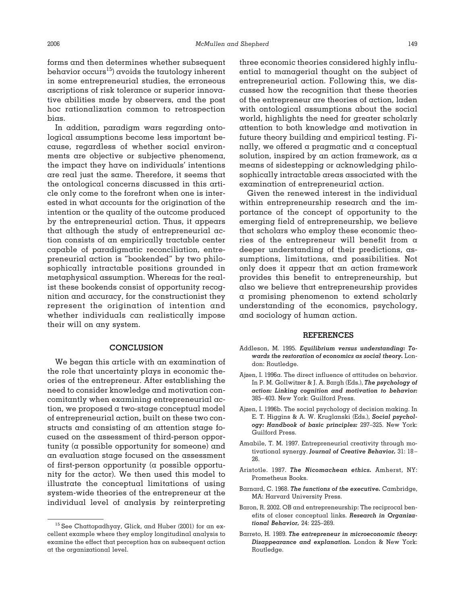forms and then determines whether subsequent behavior occurs<sup>15</sup>) avoids the tautology inherent in some entrepreneurial studies, the erroneous ascriptions of risk tolerance or superior innovative abilities made by observers, and the post hoc rationalization common to retrospection bias.

In addition, paradigm wars regarding ontological assumptions become less important because, regardless of whether social environments are objective or subjective phenomena, the impact they have on individuals' intentions are real just the same. Therefore, it seems that the ontological concerns discussed in this article only come to the forefront when one is interested in what accounts for the origination of the intention or the quality of the outcome produced by the entrepreneurial action. Thus, it appears that although the study of entrepreneurial action consists of an empirically tractable center capable of paradigmatic reconciliation, entrepreneurial action is "bookended" by two philosophically intractable positions grounded in metaphysical assumption. Whereas for the realist these bookends consist of opportunity recognition and accuracy, for the constructionist they represent the origination of intention and whether individuals can realistically impose their will on any system.

#### **CONCLUSION**

We began this article with an examination of the role that uncertainty plays in economic theories of the entrepreneur. After establishing the need to consider knowledge and motivation concomitantly when examining entrepreneurial action, we proposed a two-stage conceptual model of entrepreneurial action, built on these two constructs and consisting of an attention stage focused on the assessment of third-person opportunity ( $\alpha$  possible opportunity for someone) and an evaluation stage focused on the assessment of first-person opportunity (a possible opportunity for the actor). We then used this model to illustrate the conceptual limitations of using system-wide theories of the entrepreneur at the individual level of analysis by reinterpreting three economic theories considered highly influential to managerial thought on the subject of entrepreneurial action. Following this, we discussed how the recognition that these theories of the entrepreneur are theories of action, laden with ontological assumptions about the social world, highlights the need for greater scholarly attention to both knowledge and motivation in future theory building and empirical testing. Finally, we offered a pragmatic and a conceptual solution, inspired by an action framework, as a means of sidestepping or acknowledging philosophically intractable areas associated with the examination of entrepreneurial action.

Given the renewed interest in the individual within entrepreneurship research and the importance of the concept of opportunity to the emerging field of entrepreneurship, we believe that scholars who employ these economic theories of the entrepreneur will benefit from a deeper understanding of their predictions, assumptions, limitations, and possibilities. Not only does it appear that an action framework provides this benefit to entrepreneurship, but also we believe that entrepreneurship provides a promising phenomenon to extend scholarly understanding of the economics, psychology, and sociology of human action.

#### **REFERENCES**

- Addleson, M. 1995. *Equilibrium versus understanding: Towards the restoration of economics as social theory.* London: Routledge.
- Ajzen, I. 1996a. The direct influence of attitudes on behavior. In P. M. Gollwitzer & J. A. Bargh (Eds.), *The psychology of action: Linking cognition and motivation to behavior:* 385– 403. New York: Guilford Press.
- Ajzen, I. 1996b. The social psychology of decision making. In E. T. Higgins & A. W. Kruglanski (Eds.), *Social psychology: Handbook of basic principles:* 297–325. New York: Guilford Press.
- Amabile, T. M. 1997. Entrepreneurial creativity through motivational synergy. *Journal of Creative Behavior,* 31: 18 – 26.
- Aristotle. 1987. *The Nicomachean ethics.* Amherst, NY: Prometheus Books.
- Barnard, C. 1968. *The functions of the executive.* Cambridge, MA: Harvard University Press.
- Baron, R. 2002. OB and entrepreneurship: The reciprocal benefits of closer conceptual links. *Research in Organizational Behavior,* 24: 225–269.
- Barreto, H. 1989. *The entrepreneur in microeconomic theory: Disappearance and explanation.* London & New York: Routledge.

<sup>15</sup> See Chattopadhyay, Glick, and Huber (2001) for an excellent example where they employ longitudinal analysis to examine the effect that perception has on subsequent action at the organizational level.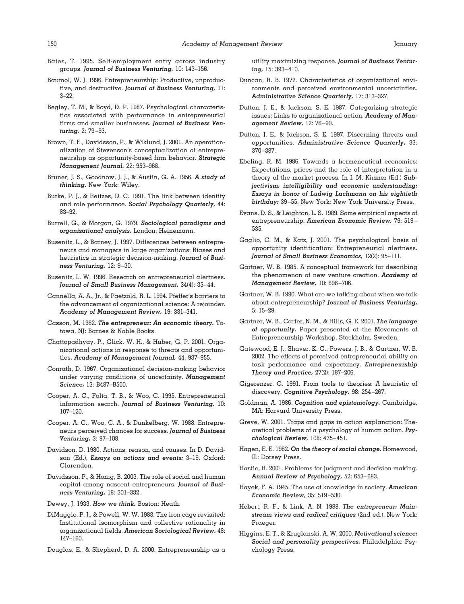- Bates, T. 1995. Self-employment entry across industry groups. *Journal of Business Venturing,* 10: 143–156.
- Baumol, W. J. 1996. Entrepreneurship: Productive, unproductive, and destructive. *Journal of Business Venturing,* 11: 3–22.
- Begley, T. M., & Boyd, D. P. 1987. Psychological characteristics associated with performance in entrepreneurial firms and smaller businesses. *Journal of Business Venturing,* 2: 79 –93.
- Brown, T. E., Davidsson, P., & Wiklund, J. 2001. An operationalization of Stevenson's conceptualization of entrepreneurship as opportunity-based firm behavior. *Strategic Management Journal,* 22: 953–968.
- Bruner, J. S., Goodnow, J. J., & Austin, G. A. 1956. *A study of thinking.* New York: Wiley.
- Burke, P. J., & Reitzes, D. C. 1991. The link between identity and role performance. *Social Psychology Quarterly,* 44: 83–92.
- Burrell, G., & Morgan, G. 1979. *Sociological paradigms and organizational analysis.* London: Heinemann.
- Busenitz, L., & Barney, J. 1997. Differences between entrepreneurs and managers in large organizations: Biases and heuristics in strategic decision-making. *Journal of Business Venturing,* 12: 9 –30.
- Busenitz, L. W. 1996. Research on entrepreneurial alertness. *Journal of Small Business Management,* 34(4): 35– 44.
- Cannella, A. A., Jr., & Paetzold, R. L. 1994. Pfeffer's barriers to the advancement of organizational science: A rejoinder. *Academy of Management Review,* 19: 331–341.
- Casson, M. 1982. *The entrepreneur: An economic theory.* Totowa, NJ: Barnes & Noble Books.
- Chattopadhyay, P., Glick, W. H., & Huber, G. P. 2001. Organizational actions in response to threats and opportunities. *Academy of Management Journal,* 44: 937–955.
- Conrath, D. 1967. Organizational decision-making behavior under varying conditions of uncertainty. *Management Science,* 13: B487–B500.
- Cooper, A. C., Folta, T. B., & Woo, C. 1995. Entrepreneurial information search. *Journal of Business Venturing,* 10: 107–120.
- Cooper, A. C., Woo, C. A., & Dunkelberg, W. 1988. Entrepreneurs perceived chances for success. *Journal of Business Venturing,* 3: 97–108.
- Davidson, D. 1980. Actions, reason, and causes. In D. Davidson (Ed.), *Essays on actions and events:* 3–19. Oxford: Clarendon.
- Davidsson, P., & Honig, B. 2003. The role of social and human capital among nascent entrepreneurs. *Journal of Business Venturing,* 18: 301–332.
- Dewey, J. 1933. *How we think.* Boston: Heath.
- DiMaggio, P. J., & Powell, W. W. 1983. The iron cage revisited: Institutional isomorphism and collective rationality in organizational fields. *American Sociological Review,* 48: 147–160.
- Douglas, E., & Shepherd, D. A. 2000. Entrepreneurship as a

utility maximizing response. *Journal of Business Venturing,* 15: 393– 410.

- Duncan, R. B. 1972. Characteristics of organizational environments and perceived environmental uncertainties. *Administrative Science Quarterly,* 17: 313–327.
- Dutton, J. E., & Jackson, S. E. 1987. Categorizing strategic issues: Links to organizational action. *Academy of Management Review,* 12: 76 –90.
- Dutton, J. E., & Jackson, S. E. 1997. Discerning threats and opportunities. *Administrative Science Quarterly,* 33: 370 –387.
- Ebeling, R. M. 1986. Towards a hermeneutical economics: Expectations, prices and the role of interpretation in a theory of the market process. In I. M. Kirzner (Ed.) *Subjectivism, intelligibility and economic understanding: Essays in honor of Ludwig Lachmann on his eightieth birthday:* 39 –55. New York: New York University Press.
- Evans, D. S., & Leighton, L. S. 1989. Some empirical aspects of entrepreneurship. *American Economic Review,* 79: 519 – 535.
- Gaglio, C. M., & Katz, J. 2001. The psychological basis of opportunity identification: Entrepreneurial alertness. *Journal of Small Business Economics,* 12(2): 95–111.
- Gartner, W. B. 1985. A conceptual framework for describing the phenomenon of new venture creation. *Academy of Management Review,* 10: 696 –706.
- Gartner, W. B. 1990. What are we talking about when we talk about entrepreneurship? *Journal of Business Venturing,* 5: 15–29.
- Gartner, W. B., Carter, N. M., & Hills, G. E. 2001. *The language of opportunity.* Paper presented at the Movements of Entrepreneurship Workshop, Stockholm, Sweden.
- Gatewood, E. J., Shaver, K. G., Powers, J. B., & Gartner, W. B. 2002. The effects of perceived entrepreneurial ability on task performance and expectancy. *Entrepreneurship Theory and Practice,* 27(2): 187–206.
- Gigerenzer, G. 1991. From tools to theories: A heuristic of discovery. *Cognitive Psychology,* 98: 254 –267.
- Goldman, A. 1986. *Cognition and epistemology.* Cambridge, MA: Harvard University Press.
- Greve, W. 2001. Traps and gaps in action explanation: Theoretical problems of a psychology of human action. *Psychological Review,* 108: 435– 451.
- Hagen, E. E. 1962. *On the theory of social change.* Homewood, IL: Dorsey Press.
- Hastie, R. 2001. Problems for judgment and decision making. *Annual Review of Psychology,* 52: 653– 683.
- Hayek, F. A. 1945. The use of knowledge in society. *American Economic Review,* 35: 519 –530.
- Hebert, R. F., & Link, A. N. 1988. *The entrepreneur: Mainstream views and radical critiques* (2nd ed.). New York: Praeger.
- Higgins, E. T., & Kruglanski, A. W. 2000. *Motivational science: Social and personality perspectives.* Philadelphia: Psychology Press.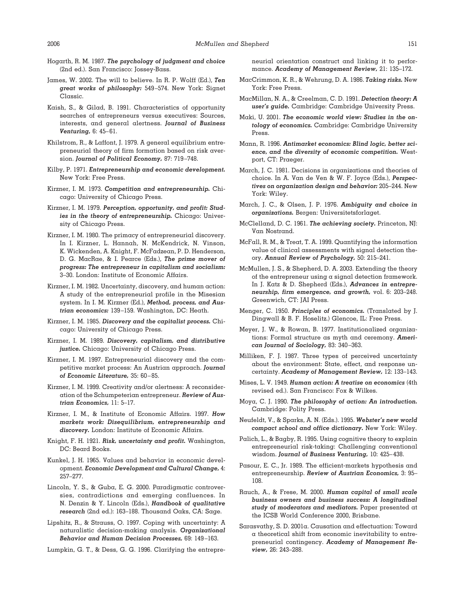- Hogarth, R. M. 1987. *The psychology of judgment and choice* (2nd ed.). San Francisco: Jossey-Bass.
- James, W. 2002. The will to believe. In R. P. Wolff (Ed.), *Ten great works of philosophy:* 549 –574. New York: Signet Classic.
- Kaish, S., & Gilad, B. 1991. Characteristics of opportunity searches of entrepreneurs versus executives: Sources, interests, and general alertness. *Journal of Business Venturing,* 6: 45– 61.
- Khilstrom, R., & Laffont, J. 1979. A general equilibrium entrepreneurial theory of firm formation based on risk aversion. *Journal of Political Economy,* 87: 719 –748.
- Kilby, P. 1971. *Entrepreneurship and economic development.* New York: Free Press.
- Kirzner, I. M. 1973. *Competition and entrepreneurship.* Chicago: University of Chicago Press.
- Kirzner, I. M. 1979. *Perception, opportunity, and profit: Studies in the theory of entrepreneurship.* Chicago: University of Chicago Press.
- Kirzner, I. M. 1980. The primacy of entrepreneurial discovery. In I. Kirzner, L. Hannah, N. McKendrick, N. Vinson, K. Wickenden, A. Knight, F. McFadzean, P. D. Henderson, D. G. MacRae, & I. Pearce (Eds.), *The prime mover of progress: The entrepreneur in capitalism and socialism:* 3–30. London: Institute of Economic Affairs.
- Kirzner, I. M. 1982. Uncertainty, discovery, and human action: A study of the entrepreneurial profile in the Misesian system. In I. M. Kirzner (Ed.), *Method, process, and Austrian economics:* 139 –159. Washington, DC: Heath.
- Kirzner, I. M. 1985. *Discovery and the capitalist process.* Chicago: University of Chicago Press.
- Kirzner, I. M. 1989. *Discovery, capitalism, and distributive justice.* Chicago: University of Chicago Press.
- Kirzner, I. M. 1997. Entrepreneurial discovery and the competitive market process: An Austrian approach. *Journal of Economic Literature,* 35: 60 – 85.
- Kirzner, I. M. 1999. Creativity and/or alertness: A reconsideration of the Schumpeterian entrepreneur. *Review of Austrian Economics,* 11: 5–17.
- Kirzner, I. M., & Institute of Economic Affairs. 1997. *How markets work: Disequilibrium, entrepreneurship and discovery.* London: Institute of Economic Affairs.
- Knight, F. H. 1921. *Risk, uncertainty and profit.* Washington, DC: Beard Books.
- Kunkel, J. H. 1965. Values and behavior in economic development. *Economic Development and Cultural Change,* 4: 257–277.
- Lincoln, Y. S., & Guba, E. G. 2000. Paradigmatic controversies, contradictions and emerging confluences. In N. Denzin & Y. Lincoln (Eds.), *Handbook of qualitative research* (2nd ed.): 163–188. Thousand Oaks, CA: Sage.
- Lipshitz, R., & Strauss, O. 1997. Coping with uncertainty: A naturalistic decision-making analysis. *Organizational Behavior and Human Decision Processes,* 69: 149 –163.
- Lumpkin, G. T., & Dess, G. G. 1996. Clarifying the entrepre-

neurial orientation construct and linking it to performance. *Academy of Management Review,* 21: 135–172.

- MacCrimmon, K. R., & Wehrung, D. A. 1986. *Taking risks.* New York: Free Press.
- MacMillan, N. A., & Creelman, C. D. 1991. *Detection theory: A user's guide.* Cambridge: Cambridge University Press.
- Maki, U. 2001. *The economic world view: Studies in the ontology of economics.* Cambridge: Cambridge University Press.
- Mann, R. 1996. *Antimarket economics: Blind logic, better science, and the diversity of economic competition.* Westport, CT: Praeger.
- March, J. C. 1981. Decisions in organizations and theories of choice. In A. Van de Ven & W. F. Joyce (Eds.), *Perspectives on organization design and behavior:* 205–244. New York: Wiley.
- March, J. C., & Olsen, J. P. 1976. *Ambiguity and choice in organizations.* Bergen: Universitetsforlaget.
- McClelland, D. C. 1961. *The achieving society.* Princeton, NJ: Van Nostrand.
- McFall, R. M., & Treat, T. A. 1999. Quantifying the information value of clinical assessments with signal detection theory. *Annual Review of Psychology,* 50: 215–241.
- McMullen, J. S., & Shepherd, D. A. 2003. Extending the theory of the entrepreneur using a signal detection framework. In J. Katz & D. Shepherd (Eds.), *Advances in entrepreneurship, firm emergence, and growth,* vol. 6: 203–248. Greenwich, CT: JAI Press.
- Menger, C. 1950. *Principles of economics.* (Translated by J. Dingwall & B. F. Hoselitz.) Glencoe, IL: Free Press.
- Meyer, J. W., & Rowan, B. 1977. Institutionalized organizations: Formal structure as myth and ceremony. *American Journal of Sociology,* 83: 340 –363.
- Milliken, F. J. 1987. Three types of perceived uncertainty about the environment: State, effect, and response uncertainty. *Academy of Management Review,* 12: 133–143.
- Mises, L. V. 1949. *Human action: A treatise on economics* (4th revised ed.). San Francisco: Fox & Wilkes.
- Moya, C. J. 1990. *The philosophy of action: An introduction.* Cambridge: Polity Press.
- Neufeldt, V., & Sparks, A. N. (Eds.). 1995. *Webster's new world compact school and office dictionary.* New York: Wiley.
- Palich, L., & Bagby, R. 1995. Using cognitive theory to explain entrepreneurial risk-taking: Challenging conventional wisdom. *Journal of Business Venturing,* 10: 425– 438.
- Pasour, E. C., Jr. 1989. The efficient-markets hypothesis and entrepreneurship. *Review of Austrian Economics,* 3: 95– 108.
- Rauch, A., & Frese, M. 2000. *Human capital of small scale business owners and business success: A longitudinal study of moderators and mediators.* Paper presented at the ICSB World Conference 2000, Brisbane.
- Sarasvathy, S. D. 2001a. Causation and effectuation: Toward a theoretical shift from economic inevitability to entrepreneurial contingency. *Academy of Management Review,* 26: 243–288.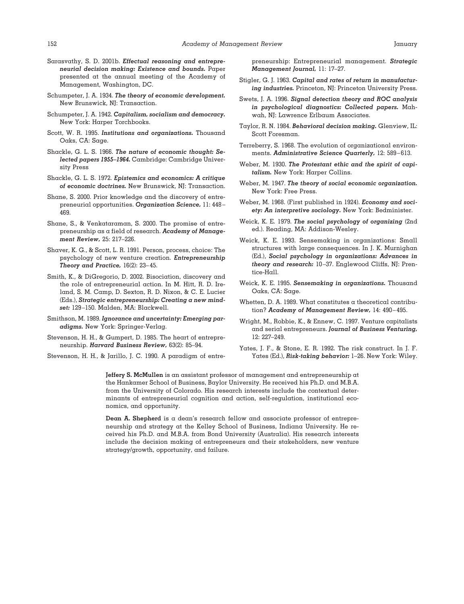- Sarasvathy, S. D. 2001b. *Effectual reasoning and entrepreneurial decision making: Existence and bounds.* Paper presented at the annual meeting of the Academy of Management, Washington, DC.
- Schumpeter, J. A. 1934. *The theory of economic development.* New Brunswick, NJ: Transaction.
- Schumpeter, J. A. 1942. *Capitalism, socialism and democracy.* New York: Harper Torchbooks.
- Scott, W. R. 1995. *Institutions and organizations.* Thousand Oaks, CA: Sage.
- Shackle, G. L. S. 1966. *The nature of economic thought: Selected papers 1955–1964.* Cambridge: Cambridge University Press
- Shackle, G. L. S. 1972. *Epistemics and economics: A critique of economic doctrines.* New Brunswick, NJ: Transaction.
- Shane, S. 2000. Prior knowledge and the discovery of entrepreneurial opportunities. *Organization Science,* 11: 448 – 469.
- Shane, S., & Venkataraman, S. 2000. The promise of entrepreneurship as a field of research. *Academy of Management Review,* 25: 217–226.
- Shaver, K. G., & Scott, L. R. 1991. Person, process, choice: The psychology of new venture creation. *Entrepreneurship Theory and Practice,* 16(2): 23– 45.
- Smith, K., & DiGregorio, D. 2002. Bisociation, discovery and the role of entrepreneurial action. In M. Hitt, R. D. Ireland, S. M. Camp, D. Sexton, R. D. Nixon, & C. E. Lucier (Eds.), *Strategic entrepreneurship: Creating a new mindset:* 129 –150. Malden, MA: Blackwell.
- Smithson, M. 1989. *Ignorance and uncertainty: Emerging paradigms.* New York: Springer-Verlag.
- Stevenson, H. H., & Gumpert, D. 1985. The heart of entrepreneurship. *Harvard Business Review,* 63(2): 85–94.
- Stevenson, H. H., & Jarillo, J. C. 1990. A paradigm of entre-

preneurship: Entrepreneurial management. *Strategic Management Journal,* 11: 17–27.

- Stigler, G. J. 1963. *Capital and rates of return in manufacturing industries.* Princeton, NJ: Princeton University Press.
- Swets, J. A. 1996. *Signal detection theory and ROC analysis in psychological diagnostics: Collected papers.* Mahwah, NJ: Lawrence Erlbaum Associates.
- Taylor, R. N. 1984. *Behavioral decision making.* Glenview, IL: Scott Foresman.
- Terreberry, S. 1968. The evolution of organizational environments. *Administrative Science Quarterly,* 12: 589 – 613.
- Weber, M. 1930. *The Protestant ethic and the spirit of capitalism.* New York: Harper Collins.
- Weber, M. 1947. *The theory of social economic organization.* New York: Free Press.
- Weber, M. 1968. (First published in 1924). *Economy and society: An interpretive sociology.* New York: Bedminister.
- Weick, K. E. 1979. *The social psychology of organizing* (2nd ed.). Reading, MA: Addison-Wesley.
- Weick, K. E. 1993. Sensemaking in organizations: Small structures with large consequences. In J. K. Murnighan (Ed.), *Social psychology in organizations: Advances in theory and research:* 10 –37. Englewood Cliffs, NJ: Prentice-Hall.
- Weick, K. E. 1995. *Sensemaking in organizations.* Thousand Oaks, CA: Sage.
- Whetten, D. A. 1989. What constitutes a theoretical contribution? Academy of Management Review, 14: 490-495.
- Wright, M., Robbie, K., & Ennew, C. 1997. Venture capitalists and serial entrepreneurs. *Journal of Business Venturing,* 12: 227–249.
- Yates, J. F., & Stone, E. R. 1992. The risk construct. In J. F. Yates (Ed.), *Risk-taking behavior:* 1–26. New York: Wiley.

**Jeffery S. McMullen** is an assistant professor of management and entrepreneurship at the Hankamer School of Business, Baylor University. He received his Ph.D. and M.B.A. from the University of Colorado. His research interests include the contextual determinants of entrepreneurial cognition and action, self-regulation, institutional economics, and opportunity.

**Dean A. Shepherd** is a dean's research fellow and associate professor of entrepreneurship and strategy at the Kelley School of Business, Indiana University. He received his Ph.D. and M.B.A. from Bond University (Australia). His research interests include the decision making of entrepreneurs and their stakeholders, new venture strategy/growth, opportunity, and failure.